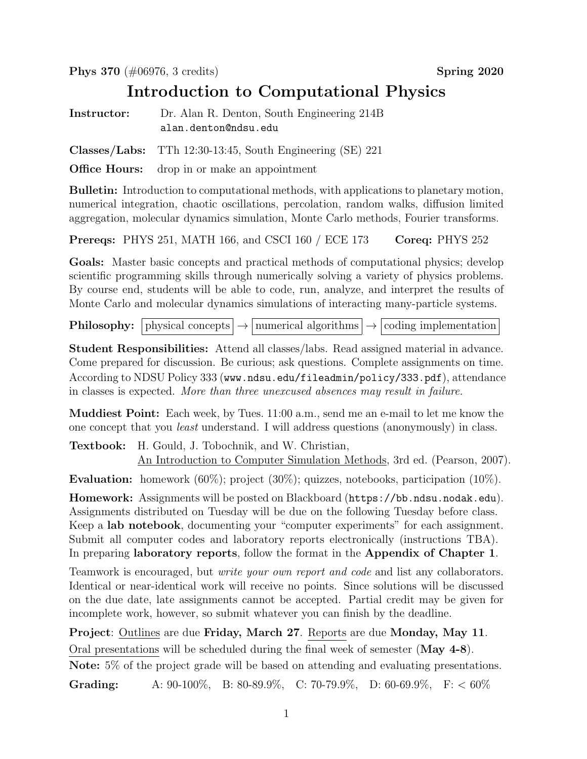Phys 370 (#06976, 3 credits) Spring 2020

## Introduction to Computational Physics

Instructor: Dr. Alan R. Denton, South Engineering 214B alan.denton@ndsu.edu

Classes/Labs: TTh 12:30-13:45, South Engineering (SE) 221

**Office Hours:** drop in or make an appointment

Bulletin: Introduction to computational methods, with applications to planetary motion, numerical integration, chaotic oscillations, percolation, random walks, diffusion limited aggregation, molecular dynamics simulation, Monte Carlo methods, Fourier transforms.

**Prereqs:** PHYS 251, MATH 166, and CSCI 160 / ECE 173 Coreq: PHYS 252

Goals: Master basic concepts and practical methods of computational physics; develop scientific programming skills through numerically solving a variety of physics problems. By course end, students will be able to code, run, analyze, and interpret the results of Monte Carlo and molecular dynamics simulations of interacting many-particle systems.

**Philosophy:** physical concepts  $\rightarrow$  numerical algorithms  $\rightarrow$  coding implementation

Student Responsibilities: Attend all classes/labs. Read assigned material in advance. Come prepared for discussion. Be curious; ask questions. Complete assignments on time. According to NDSU Policy 333 (www.ndsu.edu/fileadmin/policy/333.pdf), attendance in classes is expected. More than three unexcused absences may result in failure.

Muddiest Point: Each week, by Tues. 11:00 a.m., send me an e-mail to let me know the one concept that you least understand. I will address questions (anonymously) in class.

Textbook: H. Gould, J. Tobochnik, and W. Christian, An Introduction to Computer Simulation Methods, 3rd ed. (Pearson, 2007).

Evaluation: homework (60%); project (30%); quizzes, notebooks, participation (10%).

Homework: Assignments will be posted on Blackboard (https://bb.ndsu.nodak.edu). Assignments distributed on Tuesday will be due on the following Tuesday before class. Keep a lab notebook, documenting your "computer experiments" for each assignment. Submit all computer codes and laboratory reports electronically (instructions TBA). In preparing laboratory reports, follow the format in the Appendix of Chapter 1.

Teamwork is encouraged, but write your own report and code and list any collaborators. Identical or near-identical work will receive no points. Since solutions will be discussed on the due date, late assignments cannot be accepted. Partial credit may be given for incomplete work, however, so submit whatever you can finish by the deadline.

Project: Outlines are due Friday, March 27. Reports are due Monday, May 11. Oral presentations will be scheduled during the final week of semester (May 4-8). Note: 5% of the project grade will be based on attending and evaluating presentations.

Grading: A:  $90-100\%$ , B:  $80-89.9\%$ , C:  $70-79.9\%$ , D:  $60-69.9\%$ , F:  $< 60\%$